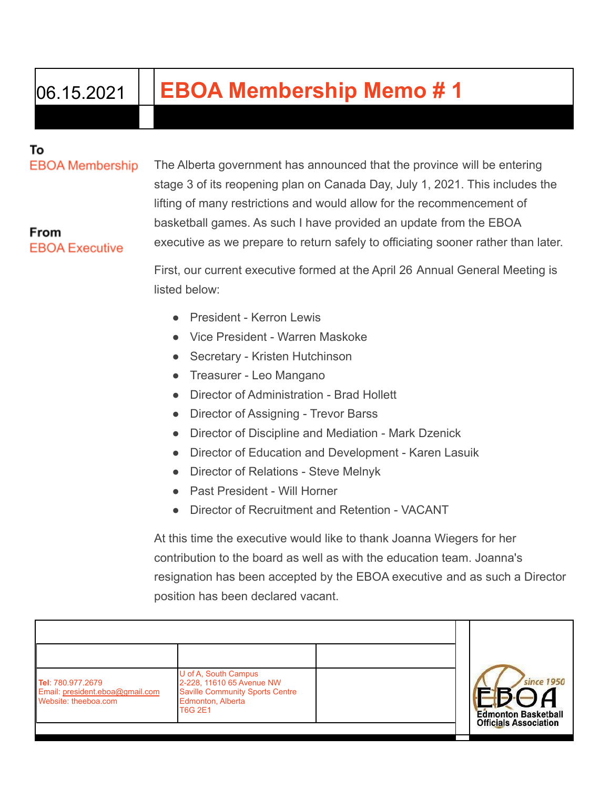# 06.15.2021 **EBOA Membership Memo # 1**

### Тο

From

#### **EBOA Membership**

**EBOA Executive** 

The Alberta government has announced that the province will be entering stage 3 of its reopening plan on Canada Day, July 1, 2021. This includes the lifting of many restrictions and would allow for the recommencement of basketball games. As such I have provided an update from the EBOA executive as we prepare to return safely to officiating sooner rather than later.

First, our current executive formed at the April 26 Annual General Meeting is listed below:

- President Kerron Lewis
- Vice President Warren Maskoke
- Secretary Kristen Hutchinson
- Treasurer Leo Mangano
- Director of Administration Brad Hollett
- Director of Assigning Trevor Barss
- Director of Discipline and Mediation Mark Dzenick
- Director of Education and Development Karen Lasuik
- Director of Relations Steve Melnyk
- Past President Will Horner
- Director of Recruitment and Retention VACANT

At this time the executive would like to thank Joanna Wiegers for her contribution to the board as well as with the education team. Joanna's resignation has been accepted by the EBOA executive and as such a Director position has been declared vacant.

| Tel: 780.977.2679<br>Email: president.eboa@gmail.com<br>Website: theeboa.com | U of A, South Campus<br>2-228, 11610 65 Avenue NW<br><b>Saville Community Sports Centre</b><br>Edmonton, Alberta<br><b>T6G 2E1</b> |  | since 1950<br><b>Edmonton Basketball</b><br><b>Officials Association</b> |
|------------------------------------------------------------------------------|------------------------------------------------------------------------------------------------------------------------------------|--|--------------------------------------------------------------------------|
|                                                                              |                                                                                                                                    |  |                                                                          |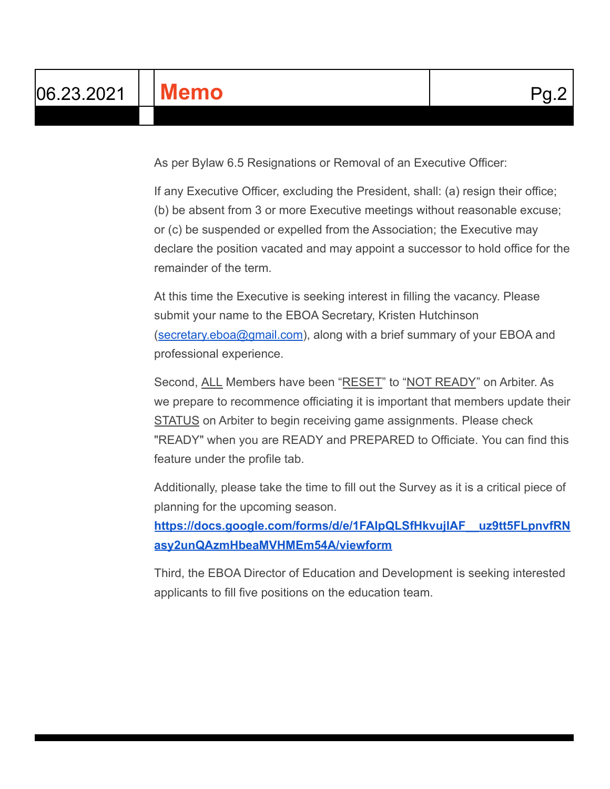As per Bylaw 6.5 Resignations or Removal of an Executive Officer:

If any Executive Officer, excluding the President, shall: (a) resign their office; (b) be absent from 3 or more Executive meetings without reasonable excuse; or (c) be suspended or expelled from the Association; the Executive may declare the position vacated and may appoint a successor to hold office for the remainder of the term.

At this time the Executive is seeking interest in filling the vacancy. Please submit your name to the EBOA Secretary, Kristen Hutchinson ([secretary.eboa@gmail.com](mailto:secretary.eboa@gmail.com)), along with a brief summary of your EBOA and professional experience.

Second, ALL Members have been "RESET" to "NOT READY" on Arbiter. As we prepare to recommence officiating it is important that members update their STATUS on Arbiter to begin receiving game assignments. Please check "READY" when you are READY and PREPARED to Officiate. You can find this feature under the profile tab.

Additionally, please take the time to fill out the Survey as it is a critical piece of planning for the upcoming season.

**[https://docs.google.com/forms/d/e/1FAIpQLSfHkvujIAF\\_\\_uz9tt5FLpnvfRN](https://docs.google.com/forms/d/e/1FAIpQLSfHkvujIAF__uz9tt5FLpnvfRNasy2unQAzmHbeaMVHMEm54A/viewform) [asy2unQAzmHbeaMVHMEm54A/viewform](https://docs.google.com/forms/d/e/1FAIpQLSfHkvujIAF__uz9tt5FLpnvfRNasy2unQAzmHbeaMVHMEm54A/viewform)**

Third, the EBOA Director of Education and Development is seeking interested applicants to fill five positions on the education team.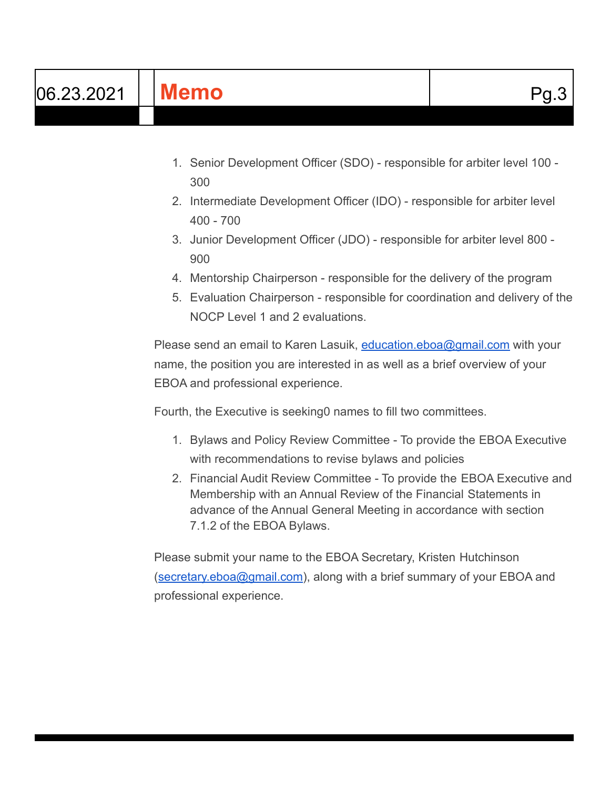## 06.23.2021 **Memo** Pg.3

- 1. Senior Development Officer (SDO) responsible for arbiter level 100 300
- 2. Intermediate Development Officer (IDO) responsible for arbiter level 400 - 700
- 3. Junior Development Officer (JDO) responsible for arbiter level 800 900
- 4. Mentorship Chairperson responsible for the delivery of the program
- 5. Evaluation Chairperson responsible for coordination and delivery of the NOCP Level 1 and 2 evaluations.

Please send an email to Karen Lasuik, [education.eboa@gmail.com](mailto:education.eboa@gmail.com) with your name, the position you are interested in as well as a brief overview of your EBOA and professional experience.

Fourth, the Executive is seeking0 names to fill two committees.

- 1. Bylaws and Policy Review Committee To provide the EBOA Executive with recommendations to revise bylaws and policies
- 2. Financial Audit Review Committee To provide the EBOA Executive and Membership with an Annual Review of the Financial Statements in advance of the Annual General Meeting in accordance with section 7.1.2 of the EBOA Bylaws.

Please submit your name to the EBOA Secretary, Kristen Hutchinson ([secretary.eboa@gmail.com](mailto:secretary.eboa@gmail.com)), along with a brief summary of your EBOA and professional experience.